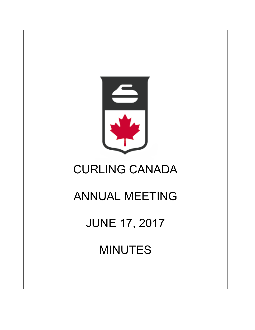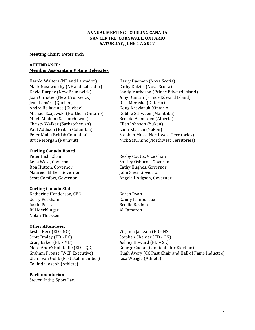# **ANNUAL MEETING - CURLING CANADA NAV CENTRE, CORNWALL, ONTARIO SATURDAY, JUNE 17, 2017**

#### **Meeting Chair: Peter Inch**

### **ATTENDANCE: Member Association Voting Delegates**

Harold Walters (NF and Labrador) Flarry Daemen (Nova Scotia) Mark Noseworthy (NF and Labrador) Cathy Dalziel (Nova Scotia) Joan Christie (New Brunswick) Amy Duncan (Prince Edward Island) Jean Lamère (Quebec) Rick Meraska (Ontario) Andre Bellavance (Quebec) Doug Kreviazuk (Ontario) Michael Szajewski (Northern Ontario) Debbie Schween (Manitoba) Mitch Minken (Saskatchewan) Brenda Asmussen (Alberta) Christy Walker (Saskatchewan) Ellen Johnson (Yukon) Paul Addison (British Columbia) Laini Klassen (Yukon) Bruce Morgan (Nunavut)  $Nick$  Saturnino(Northwest Territories)

### **Curling Canada Board**

Peter Inch, Chair **Resp. 2.1 Executes** Resby Coutts, Vice Chair Ron Hutton, Governor Cathy Hughes, Governor Maureen Miller, Governor The Maureen Miller, Governor

#### **Curling Canada Staff**

Katherine Henderson, CEO Karen Ryan Gerry Peckham Danny Lamoureux **Justin Perry Community Community** Brodie Bazinet Bill Merklinger Al Cameron Nolan Thiessen

#### **Other Attendees:**

Leslie Kerr (ED - NO) Virginia Jackson (ED - NS) Scott Braley (ED - BC) Stephen Chenier (ED - ON) Craig Baker (ED - MB) Ashley Howard (ED – SK) Glenn van Gulik (Past staff member) Lisa Weagle (Athlete) Collinda Joseph (Athlete)

#### **Parliamentarian**

Steven Indig, Sport Law

David Burpee (New Brunswick) Sandy Matheson (Prince Edward Island) Peter Muir (British Columbia) Stephen Moss (Northwest Territories)

Lena West, Governor Shirley Osborne, Governor Scott Comfort, Governor **Angela Hodgson, Governor** 

Marc-André Robitaille  $(ED - QC)$  George Cooke (Candidate for Election) Graham Prouse (WCF Executive) Hugh Avery (CC Past Chair and Hall of Fame Inductee)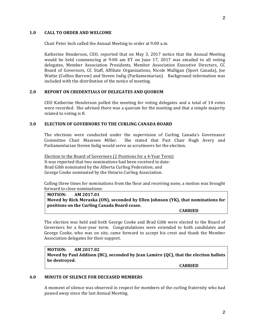### 1.0 **CALL TO ORDER AND WELCOME**

Chair Peter Inch called the Annual Meeting to order at 9:00 a.m.

Katherine Henderson, CEO, reported that on May 3, 2017 notice that the Annual Meeting would be held commencing at 9:00 am ET on June 17, 2017 was emailed to all voting delegates, Member Association Presidents, Member Association Executive Directors, CC Board of Governors, CC Staff, Affiliate Organizations, Nicole Mulligan (Sport Canada), Joe Wattie (Collins Barrow) and Steven Indig (Parliamentarian). Background information was included with the distribution of the notice of meeting.

# 2.0 REPORT ON CREDENTIALS OF DELEGATES AND QUORUM

CEO Katherine Henderson polled the meeting for voting delegates and a total of 14 votes were recorded. She advised there was a quorum for the meeting and that a simple majority related to voting is 8.

# **3.0 ELECTION OF GOVERNORS TO THE CURLING CANADA BOARD**

The elections were conducted under the supervision of Curling Canada's Governance Committee Chair Maureen Miller. She stated that Past Chair Hugh Avery and Parliamentarian Steven Indig would serve as scrutineers for the election.

Election to the Board of Governors (2 Positions for a 4-Year Term) It was reported that two nominations had been received to date: Brad Gibb nominated by the Alberta Curling Federation; and George Cooke nominated by the Ontario Curling Association.

Calling three times for nominations from the floor and receiving none, a motion was brought forward to close nominations:

**MOTION: AM 2017.01 Moved by Rick Meraska (ON), seconded by Ellen Johnson (YK), that nominations for positions on the Curling Canada Board cease.** 

**CARRIED**

The election was held and both George Cooke and Brad Gibb were elected to the Board of Governors for a four-year term. Congratulations were extended to both candidates and George Cooke, who was on site, came forward to accept his crest and thank the Member Association delegates for their support.

**MOTION: AM 2017.02 Moved by Paul Addison (BC), seconded by Jean Lamère (QC), that the election ballots** be destroyed.

**CARRIED**

### **4.0 MINUTE OF SILENCE FOR DECEASED MEMBERS**

A moment of silence was observed in respect for members of the curling fraternity who had passed away since the last Annual Meeting.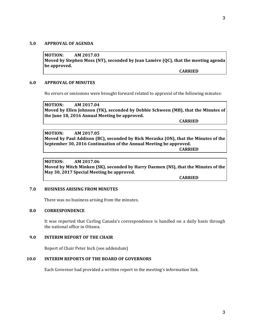## **5.0 APPROVAL OF AGENDA**

**MOTION: AM 2017.03 Moved by Stephen Moss (NT), seconded by Jean Lamère (QC), that the meeting agenda** be approved.

**CARRIED**

### **6.0 APPROVAL OF MINUTES**

No errors or omissions were brought forward related to approval of the following minutes:

**MOTION: AM 2017.04** Moved by Ellen Johnson (YK), seconded by Debbie Schween (MB), that the Minutes of the June 18, 2016 Annual Meeting be approved.

**CARRIED**

**MOTION: AM 2017.05 Moved by Paul Addison (BC), seconded by Rick Meraska (ON), that the Minutes of the September 30, 2016 Continuation of the Annual Meeting be approved.** 

**CARRIED**

**MOTION: AM 2017.06 Moved by Mitch Minken (SK), seconded by Harry Daemen (NS), that the Minutes of the** May 30, 2017 Special Meeting be approved.

**CARRIED**

### **7.0 BUSINESS ARISING FROM MINUTES**

There was no business arising from the minutes.

### **8.0 CORRESPONDENCE**

It was reported that Curling Canada's correspondence is handled on a daily basis through the national office in Ottawa.

## **9.0 INTERIM REPORT OF THE CHAIR**

Report of Chair Peter Inch (see addendum)

# **10.0 INTERIM REPORTS OF THE BOARD OF GOVERNORS**

Each Governor had provided a written report in the meeting's information link.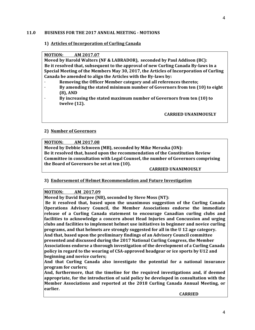### 11.0 **BUSINESS FOR THE 2017 ANNUAL MEETING - MOTIONS**

# **1) Articles of Incorporation of Curling Canada**

**MOTION: AM 2017.07**

**Moved** by Harold Walters (NF & LABRADOR), seconded by Paul Addison (BC): Be it resolved that, subsequent to the approval of new Curling Canada By-laws in a Special Meeting of the Members May 30, 2017, the Articles of Incorporation of Curling Canada be amended to align the Articles with the By-laws by:

- **Removing the Officer Member category and all references thereto;**
- By amending the stated minimum number of Governors from ten (10) to eight **(8), AND**
- By increasing the stated maximum number of Governors from ten (10) to **twelve** (12).

**CARRIED UNANIMOUSLY**

# **2) Number of Governors**

**MOTION: AM 2017.08**

**Moved by Debbie Schween (MB), seconded by Mike Meraska (ON):** Be it resolved that, based upon the recommendation of the Constitution Review **Committee in consultation with Legal Counsel, the number of Governors comprising** the Board of Governors be set at ten (10).

# **CARRIED UNANIMOUSLY**

# **3)** Endorsement of Helmet Recommendation and Future Investigation

# **MOTION: AM 2017.09**

**Moved by David Burpee (NB), seconded by Steve Moss (NT):** 

Be it resolved that, based upon the unanimous suggestion of the Curling Canada **Operations Advisory Council, the Member Associations endorse the immediate** release of a Curling Canada statement to encourage Canadian curling clubs and facilities to acknowledge a concern about Head Injuries and Concussion and urging clubs and facilities to implement helmet use initiatives in beginner and novice curling **programs, and that helmets are strongly suggested for all in the U 12 age category.** And that, based upon the preliminary findings of an Advisory Council committee presented and discussed during the 2017 National Curling Congress, the Member **Associations endorse a thorough investigation of the development of a Curling Canada policy** in regard to the wearing of CSA-approved headgear or ice sports by U12 and **beginning and novice curlers;** 

And that Curling Canada also investigate the potential for a national insurance **program for curlers;**

And, furthermore, that the timeline for the required investigations and, if deemed appropriate, for the introduction of said policy be developed in consultation with the **Member Associations and reported at the 2018 Curling Canada Annual Meeting, or earlier.**

**CARRIED**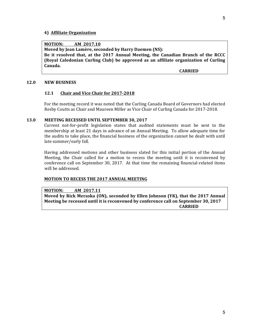#### **4) Affiliate Organization**

### **MOTION: AM 2017.10**

**Moved by Jean Lamère, seconded by Harry Daemen (NS):** 

Be it resolved that, at the 2017 Annual Meeting, the Canadian Branch of the RCCC **(Royal Caledonian Curling Club) be approved as an affiliate organization of Curling Canada.**

**CARRIED**

#### **12.0 NEW BUSINESS**

#### **12.1 Chair and Vice Chair for 2017-2018**

For the meeting record it was noted that the Curling Canada Board of Governors had elected Resby Coutts as Chair and Maureen Miller as Vice Chair of Curling Canada for 2017-2018.

### 13.0 MEETING RECESSED UNTIL SEPTEMBER 30, 2017

Current not-for-profit legislation states that audited statements must be sent to the membership at least 21 days in advance of an Annual Meeting. To allow adequate time for the audits to take place, the financial business of the organization cannot be dealt with until late summer/early fall.

Having addressed motions and other business slated for this initial portion of the Annual Meeting, the Chair called for a motion to recess the meeting until it is reconvened by conference call on September 30, 2017. At that time the remaining financial-related items will be addressed.

#### **MOTION TO RECESS THE 2017 ANNUAL MEETING**

#### **MOTION: AM 2017.11**

**Moved by Rick Meraska (ON), seconded by Ellen Johnson (YK), that the 2017 Annual Meeting be recessed until it is reconvened by conference call on September 30, 2017 CARRIED**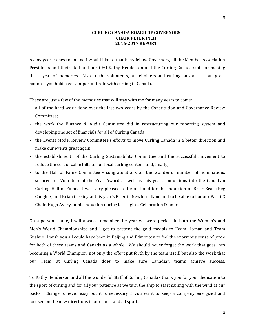### **CURLING CANADA BOARD OF GOVERNORS CHAIR PETER INCH 2016-2017 REPORT**

As my year comes to an end I would like to thank my fellow Governors, all the Member Association Presidents and their staff and our CEO Kathy Henderson and the Curling Canada staff for making this a year of memories. Also, to the volunteers, stakeholders and curling fans across our great nation - you hold a very important role with curling in Canada.

These are just a few of the memories that will stay with me for many years to come:

- all of the hard work done over the last two years by the Constitution and Governance Review Committee;
- the work the Finance & Audit Committee did in restructuring our reporting system and developing one set of financials for all of Curling Canada;
- the Events Model Review Committee's efforts to move Curling Canada in a better direction and make our events great again;
- the establishment of the Curling Sustainability Committee and the successful movement to reduce the cost of cable bills to our local curling centers; and, finally,
- to the Hall of Fame Committee congratulations on the wonderful number of nominations secured for Volunteer of the Year Award as well as this year's inductions into the Canadian Curling Hall of Fame. I was very pleased to be on hand for the induction of Brier Bear (Reg) Caughie) and Brian Cassidy at this year's Brier in Newfoundland and to be able to honour Past CC Chair, Hugh Avery, at his induction during last night's Celebration Dinner.

On a personal note, I will always remember the year we were perfect in both the Women's and Men's World Championships and I got to present the gold medals to Team Homan and Team Gushue. I wish you all could have been in Beijing and Edmonton to feel the enormous sense of pride for both of these teams and Canada as a whole. We should never forget the work that goes into becoming a World Champion, not only the effort put forth by the team itself, but also the work that our Team at Curling Canada does to make sure Canadian teams achieve success.

To Kathy Henderson and all the wonderful Staff of Curling Canada - thank you for your dedication to the sport of curling and for all your patience as we turn the ship to start sailing with the wind at our backs. Change is never easy but it is necessary if you want to keep a company energized and focused on the new directions in our sport and all sports.